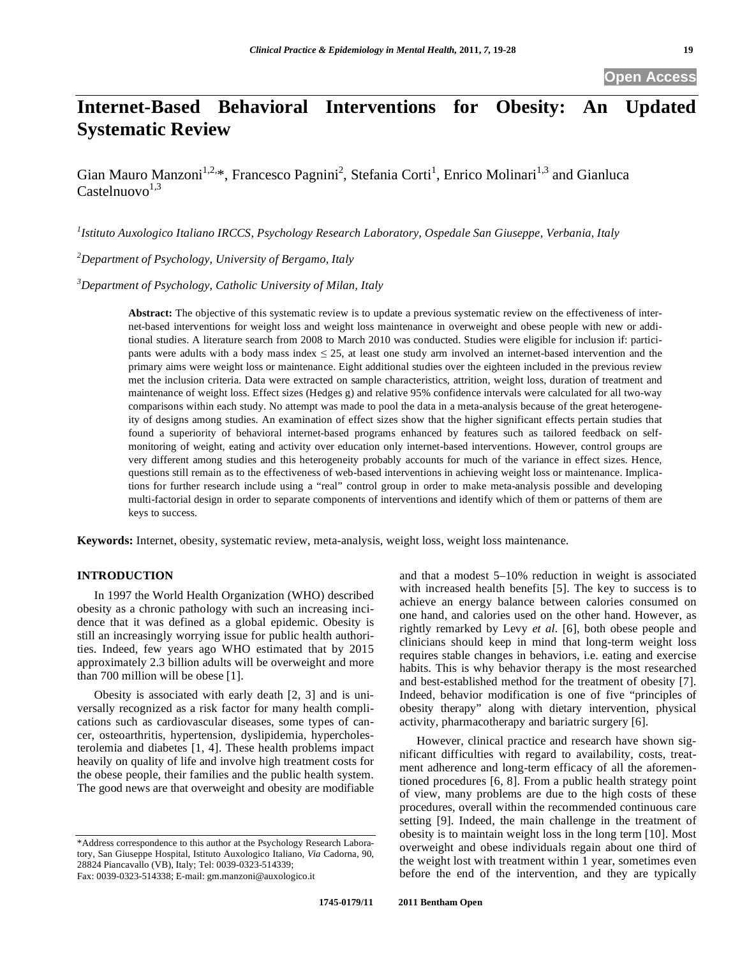# **Internet-Based Behavioral Interventions for Obesity: An Updated Systematic Review**

Gian Mauro Manzoni<sup>1,2,\*</sup>, Francesco Pagnini<sup>2</sup>, Stefania Corti<sup>1</sup>, Enrico Molinari<sup>1,3</sup> and Gianluca  $\text{Castelnuovo}^{1,3}$ 

*1 Istituto Auxologico Italiano IRCCS, Psychology Research Laboratory, Ospedale San Giuseppe, Verbania, Italy* 

*2 Department of Psychology, University of Bergamo, Italy* 

*3 Department of Psychology, Catholic University of Milan, Italy* 

**Abstract:** The objective of this systematic review is to update a previous systematic review on the effectiveness of internet-based interventions for weight loss and weight loss maintenance in overweight and obese people with new or additional studies. A literature search from 2008 to March 2010 was conducted. Studies were eligible for inclusion if: participants were adults with a body mass index  $\leq$  25, at least one study arm involved an internet-based intervention and the primary aims were weight loss or maintenance. Eight additional studies over the eighteen included in the previous review met the inclusion criteria. Data were extracted on sample characteristics, attrition, weight loss, duration of treatment and maintenance of weight loss. Effect sizes (Hedges g) and relative 95% confidence intervals were calculated for all two-way comparisons within each study. No attempt was made to pool the data in a meta-analysis because of the great heterogeneity of designs among studies. An examination of effect sizes show that the higher significant effects pertain studies that found a superiority of behavioral internet-based programs enhanced by features such as tailored feedback on selfmonitoring of weight, eating and activity over education only internet-based interventions. However, control groups are very different among studies and this heterogeneity probably accounts for much of the variance in effect sizes. Hence, questions still remain as to the effectiveness of web-based interventions in achieving weight loss or maintenance. Implications for further research include using a "real" control group in order to make meta-analysis possible and developing multi-factorial design in order to separate components of interventions and identify which of them or patterns of them are keys to success.

**Keywords:** Internet, obesity, systematic review, meta-analysis, weight loss, weight loss maintenance.

# **INTRODUCTION**

In 1997 the World Health Organization (WHO) described obesity as a chronic pathology with such an increasing incidence that it was defined as a global epidemic. Obesity is still an increasingly worrying issue for public health authorities. Indeed, few years ago WHO estimated that by 2015 approximately 2.3 billion adults will be overweight and more than 700 million will be obese [1].

Obesity is associated with early death [2, 3] and is universally recognized as a risk factor for many health complications such as cardiovascular diseases, some types of cancer, osteoarthritis, hypertension, dyslipidemia, hypercholesterolemia and diabetes [1, 4]. These health problems impact heavily on quality of life and involve high treatment costs for the obese people, their families and the public health system. The good news are that overweight and obesity are modifiable

\*Address correspondence to this author at the Psychology Research Laboratory, San Giuseppe Hospital, Istituto Auxologico Italiano, *Via* Cadorna, 90, 28824 Piancavallo (VB), Italy; Tel: 0039-0323-514339; Fax: 0039-0323-514338; E-mail: gm.manzoni@auxologico.it

and that a modest 5–10% reduction in weight is associated with increased health benefits [5]. The key to success is to achieve an energy balance between calories consumed on one hand, and calories used on the other hand. However, as rightly remarked by Levy *et al.* [6], both obese people and clinicians should keep in mind that long-term weight loss requires stable changes in behaviors, i.e. eating and exercise habits. This is why behavior therapy is the most researched and best-established method for the treatment of obesity [7]. Indeed, behavior modification is one of five "principles of obesity therapy" along with dietary intervention, physical activity, pharmacotherapy and bariatric surgery [6].

However, clinical practice and research have shown significant difficulties with regard to availability, costs, treatment adherence and long-term efficacy of all the aforementioned procedures [6, 8]. From a public health strategy point of view, many problems are due to the high costs of these procedures, overall within the recommended continuous care setting [9]. Indeed, the main challenge in the treatment of obesity is to maintain weight loss in the long term [10]. Most overweight and obese individuals regain about one third of the weight lost with treatment within 1 year, sometimes even before the end of the intervention, and they are typically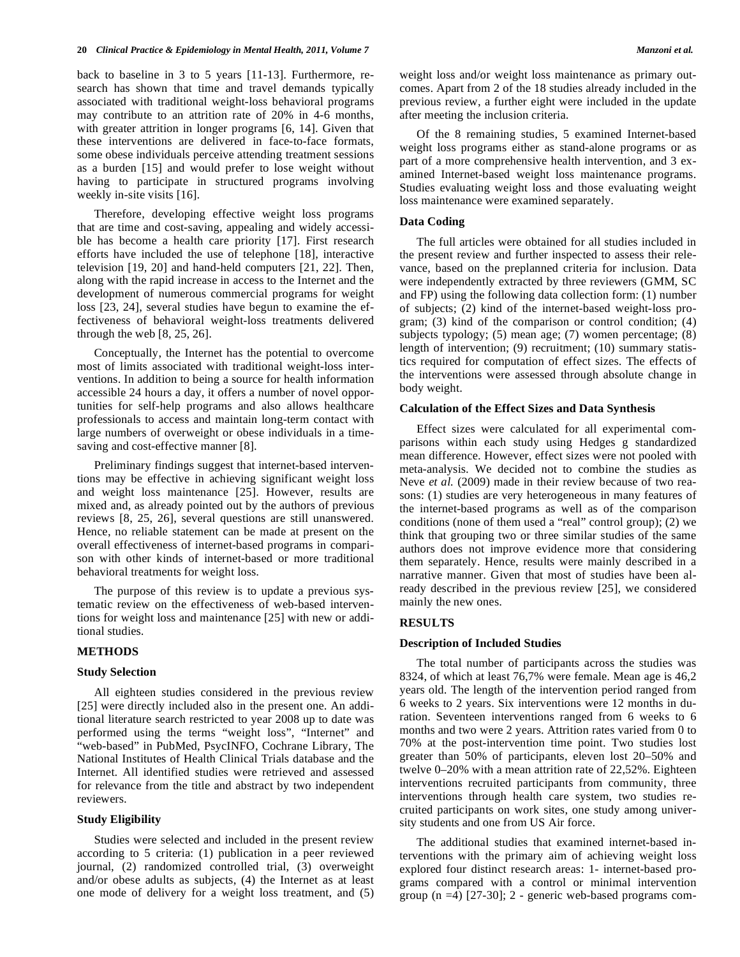back to baseline in 3 to 5 years [11-13]. Furthermore, research has shown that time and travel demands typically associated with traditional weight-loss behavioral programs may contribute to an attrition rate of 20% in 4-6 months, with greater attrition in longer programs [6, 14]. Given that these interventions are delivered in face-to-face formats, some obese individuals perceive attending treatment sessions as a burden [15] and would prefer to lose weight without having to participate in structured programs involving weekly in-site visits [16].

Therefore, developing effective weight loss programs that are time and cost-saving, appealing and widely accessible has become a health care priority [17]. First research efforts have included the use of telephone [18], interactive television [19, 20] and hand-held computers [21, 22]. Then, along with the rapid increase in access to the Internet and the development of numerous commercial programs for weight loss [23, 24], several studies have begun to examine the effectiveness of behavioral weight-loss treatments delivered through the web [8, 25, 26].

Conceptually, the Internet has the potential to overcome most of limits associated with traditional weight-loss interventions. In addition to being a source for health information accessible 24 hours a day, it offers a number of novel opportunities for self-help programs and also allows healthcare professionals to access and maintain long-term contact with large numbers of overweight or obese individuals in a timesaving and cost-effective manner [8].

Preliminary findings suggest that internet-based interventions may be effective in achieving significant weight loss and weight loss maintenance [25]. However, results are mixed and, as already pointed out by the authors of previous reviews [8, 25, 26], several questions are still unanswered. Hence, no reliable statement can be made at present on the overall effectiveness of internet-based programs in comparison with other kinds of internet-based or more traditional behavioral treatments for weight loss.

The purpose of this review is to update a previous systematic review on the effectiveness of web-based interventions for weight loss and maintenance [25] with new or additional studies.

# **METHODS**

### **Study Selection**

All eighteen studies considered in the previous review [25] were directly included also in the present one. An additional literature search restricted to year 2008 up to date was performed using the terms "weight loss", "Internet" and "web-based" in PubMed, PsycINFO, Cochrane Library, The National Institutes of Health Clinical Trials database and the Internet. All identified studies were retrieved and assessed for relevance from the title and abstract by two independent reviewers.

### **Study Eligibility**

Studies were selected and included in the present review according to 5 criteria: (1) publication in a peer reviewed journal, (2) randomized controlled trial, (3) overweight and/or obese adults as subjects, (4) the Internet as at least one mode of delivery for a weight loss treatment, and (5) weight loss and/or weight loss maintenance as primary outcomes. Apart from 2 of the 18 studies already included in the previous review, a further eight were included in the update after meeting the inclusion criteria.

Of the 8 remaining studies, 5 examined Internet-based weight loss programs either as stand-alone programs or as part of a more comprehensive health intervention, and 3 examined Internet-based weight loss maintenance programs. Studies evaluating weight loss and those evaluating weight loss maintenance were examined separately.

### **Data Coding**

The full articles were obtained for all studies included in the present review and further inspected to assess their relevance, based on the preplanned criteria for inclusion. Data were independently extracted by three reviewers (GMM, SC and FP) using the following data collection form: (1) number of subjects; (2) kind of the internet-based weight-loss program; (3) kind of the comparison or control condition; (4) subjects typology; (5) mean age; (7) women percentage; (8) length of intervention; (9) recruitment; (10) summary statistics required for computation of effect sizes. The effects of the interventions were assessed through absolute change in body weight.

### **Calculation of the Effect Sizes and Data Synthesis**

Effect sizes were calculated for all experimental comparisons within each study using Hedges g standardized mean difference. However, effect sizes were not pooled with meta-analysis. We decided not to combine the studies as Neve *et al.* (2009) made in their review because of two reasons: (1) studies are very heterogeneous in many features of the internet-based programs as well as of the comparison conditions (none of them used a "real" control group); (2) we think that grouping two or three similar studies of the same authors does not improve evidence more that considering them separately. Hence, results were mainly described in a narrative manner. Given that most of studies have been already described in the previous review [25], we considered mainly the new ones.

### **RESULTS**

### **Description of Included Studies**

The total number of participants across the studies was 8324, of which at least 76,7% were female. Mean age is 46,2 years old. The length of the intervention period ranged from 6 weeks to 2 years. Six interventions were 12 months in duration. Seventeen interventions ranged from 6 weeks to 6 months and two were 2 years. Attrition rates varied from 0 to 70% at the post-intervention time point. Two studies lost greater than 50% of participants, eleven lost 20–50% and twelve 0–20% with a mean attrition rate of 22,52%. Eighteen interventions recruited participants from community, three interventions through health care system, two studies recruited participants on work sites, one study among university students and one from US Air force.

The additional studies that examined internet-based interventions with the primary aim of achieving weight loss explored four distinct research areas: 1- internet-based programs compared with a control or minimal intervention group (n =4) [27-30]; 2 - generic web-based programs com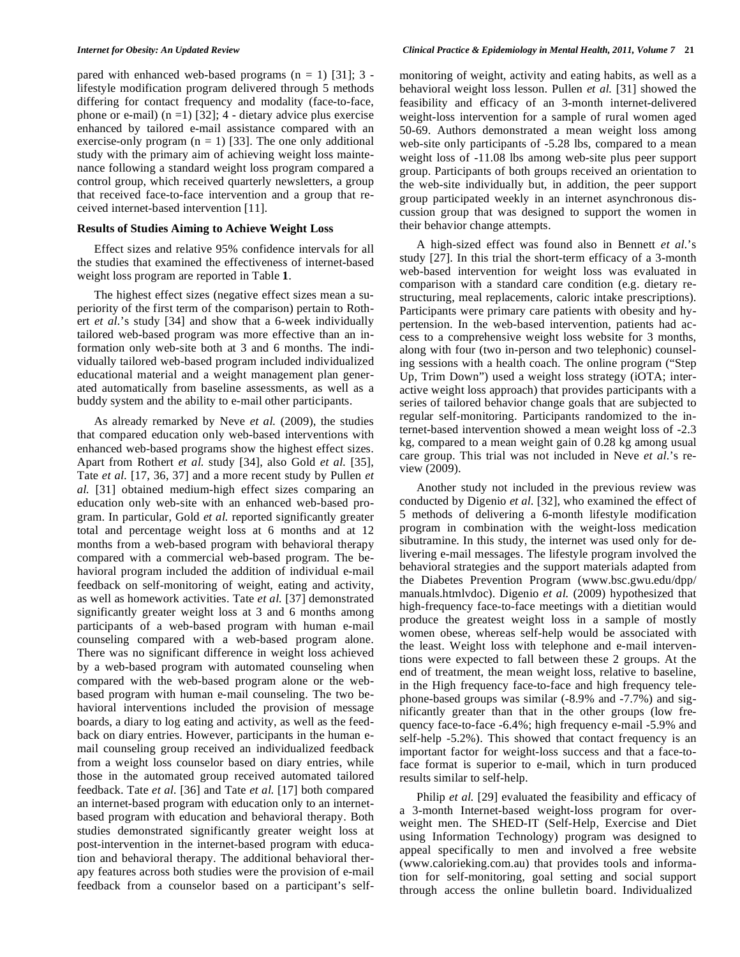pared with enhanced web-based programs  $(n = 1)$  [31]; 3 lifestyle modification program delivered through 5 methods differing for contact frequency and modality (face-to-face, phone or e-mail)  $(n = 1)$  [32]; 4 - dietary advice plus exercise enhanced by tailored e-mail assistance compared with an exercise-only program  $(n = 1)$  [33]. The one only additional study with the primary aim of achieving weight loss maintenance following a standard weight loss program compared a control group, which received quarterly newsletters, a group that received face-to-face intervention and a group that received internet-based intervention [11].

### **Results of Studies Aiming to Achieve Weight Loss**

Effect sizes and relative 95% confidence intervals for all the studies that examined the effectiveness of internet-based weight loss program are reported in Table **1**.

The highest effect sizes (negative effect sizes mean a superiority of the first term of the comparison) pertain to Rothert *et al.*'s study [34] and show that a 6-week individually tailored web-based program was more effective than an information only web-site both at 3 and 6 months. The individually tailored web-based program included individualized educational material and a weight management plan generated automatically from baseline assessments, as well as a buddy system and the ability to e-mail other participants.

As already remarked by Neve *et al.* (2009), the studies that compared education only web-based interventions with enhanced web-based programs show the highest effect sizes. Apart from Rothert *et al.* study [34], also Gold *et al.* [35], Tate *et al.* [17, 36, 37] and a more recent study by Pullen *et al.* [31] obtained medium-high effect sizes comparing an education only web-site with an enhanced web-based program. In particular, Gold *et al.* reported significantly greater total and percentage weight loss at 6 months and at 12 months from a web-based program with behavioral therapy compared with a commercial web-based program. The behavioral program included the addition of individual e-mail feedback on self-monitoring of weight, eating and activity, as well as homework activities. Tate *et al.* [37] demonstrated significantly greater weight loss at 3 and 6 months among participants of a web-based program with human e-mail counseling compared with a web-based program alone. There was no significant difference in weight loss achieved by a web-based program with automated counseling when compared with the web-based program alone or the webbased program with human e-mail counseling. The two behavioral interventions included the provision of message boards, a diary to log eating and activity, as well as the feedback on diary entries. However, participants in the human email counseling group received an individualized feedback from a weight loss counselor based on diary entries, while those in the automated group received automated tailored feedback. Tate *et al.* [36] and Tate *et al.* [17] both compared an internet-based program with education only to an internetbased program with education and behavioral therapy. Both studies demonstrated significantly greater weight loss at post-intervention in the internet-based program with education and behavioral therapy. The additional behavioral therapy features across both studies were the provision of e-mail feedback from a counselor based on a participant's selfmonitoring of weight, activity and eating habits, as well as a behavioral weight loss lesson. Pullen *et al.* [31] showed the feasibility and efficacy of an 3-month internet-delivered weight-loss intervention for a sample of rural women aged 50-69. Authors demonstrated a mean weight loss among web-site only participants of -5.28 lbs, compared to a mean weight loss of -11.08 lbs among web-site plus peer support group. Participants of both groups received an orientation to the web-site individually but, in addition, the peer support group participated weekly in an internet asynchronous discussion group that was designed to support the women in their behavior change attempts.

A high-sized effect was found also in Bennett *et al.*'s study [27]. In this trial the short-term efficacy of a 3-month web-based intervention for weight loss was evaluated in comparison with a standard care condition (e.g. dietary restructuring, meal replacements, caloric intake prescriptions). Participants were primary care patients with obesity and hypertension. In the web-based intervention, patients had access to a comprehensive weight loss website for 3 months, along with four (two in-person and two telephonic) counseling sessions with a health coach. The online program ("Step Up, Trim Down") used a weight loss strategy (iOTA; interactive weight loss approach) that provides participants with a series of tailored behavior change goals that are subjected to regular self-monitoring. Participants randomized to the internet-based intervention showed a mean weight loss of -2.3 kg, compared to a mean weight gain of 0.28 kg among usual care group. This trial was not included in Neve *et al.*'s review (2009).

Another study not included in the previous review was conducted by Digenio *et al.* [32], who examined the effect of 5 methods of delivering a 6-month lifestyle modification program in combination with the weight-loss medication sibutramine. In this study, the internet was used only for delivering e-mail messages. The lifestyle program involved the behavioral strategies and the support materials adapted from the Diabetes Prevention Program (www.bsc.gwu.edu/dpp/ manuals.htmlvdoc). Digenio *et al.* (2009) hypothesized that high-frequency face-to-face meetings with a dietitian would produce the greatest weight loss in a sample of mostly women obese, whereas self-help would be associated with the least. Weight loss with telephone and e-mail interventions were expected to fall between these 2 groups. At the end of treatment, the mean weight loss, relative to baseline, in the High frequency face-to-face and high frequency telephone-based groups was similar (-8.9% and -7.7%) and significantly greater than that in the other groups (low frequency face-to-face -6.4%; high frequency e-mail -5.9% and self-help -5.2%). This showed that contact frequency is an important factor for weight-loss success and that a face-toface format is superior to e-mail, which in turn produced results similar to self-help.

Philip *et al.* [29] evaluated the feasibility and efficacy of a 3-month Internet-based weight-loss program for overweight men. The SHED-IT (Self-Help, Exercise and Diet using Information Technology) program was designed to appeal specifically to men and involved a free website (www.calorieking.com.au) that provides tools and information for self-monitoring, goal setting and social support through access the online bulletin board. Individualized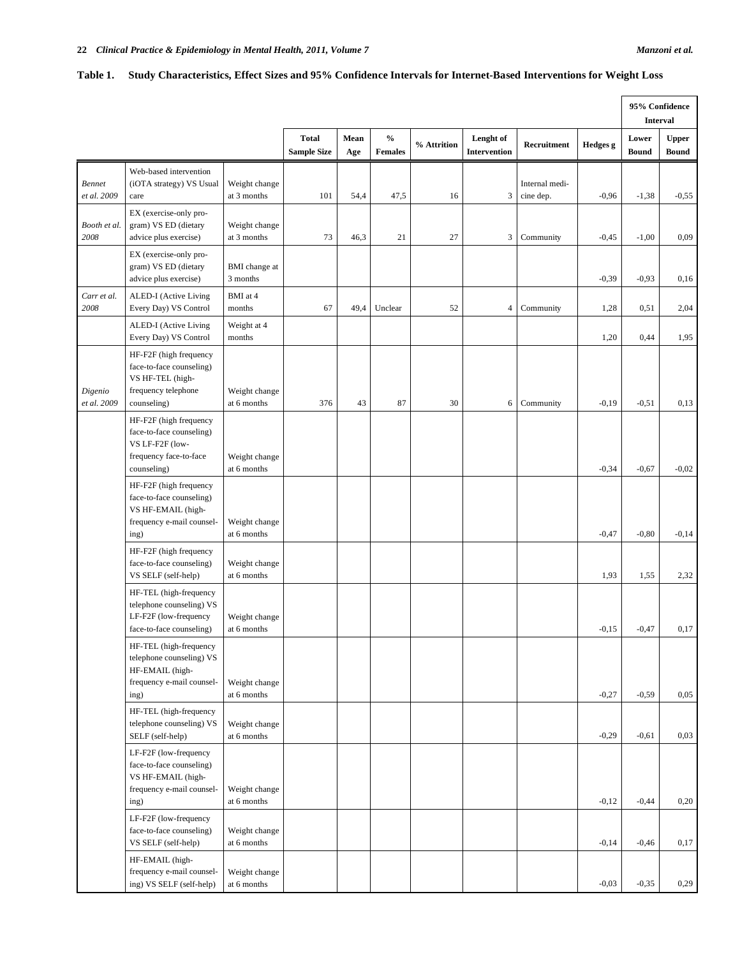# **Table 1. Study Characteristics, Effect Sizes and 95% Confidence Intervals for Internet-Based Interventions for Weight Loss**

|                              |                                                                                                                |                                  |                                    |             |                                 |             |                           |                             |                 | <b>Interval</b>       | 95% Confidence               |
|------------------------------|----------------------------------------------------------------------------------------------------------------|----------------------------------|------------------------------------|-------------|---------------------------------|-------------|---------------------------|-----------------------------|-----------------|-----------------------|------------------------------|
|                              |                                                                                                                |                                  | <b>Total</b><br><b>Sample Size</b> | Mean<br>Age | $\frac{1}{2}$<br><b>Females</b> | % Attrition | Lenght of<br>Intervention | Recruitment                 | <b>Hedges</b> g | Lower<br><b>Bound</b> | <b>Upper</b><br><b>Bound</b> |
| <b>Bennet</b><br>et al. 2009 | Web-based intervention<br>(iOTA strategy) VS Usual<br>care                                                     | Weight change<br>at 3 months     | 101                                | 54,4        | 47,5                            | 16          | 3                         | Internal medi-<br>cine dep. | $-0,96$         | $-1,38$               | $-0,55$                      |
| Booth et al.<br>2008         | EX (exercise-only pro-<br>gram) VS ED (dietary<br>advice plus exercise)                                        | Weight change<br>at 3 months     | 73                                 | 46,3        | 21                              | 27          | 3                         | Community                   | $-0,45$         | $-1,00$               | 0,09                         |
|                              | EX (exercise-only pro-<br>gram) VS ED (dietary<br>advice plus exercise)                                        | <b>BMI</b> change at<br>3 months |                                    |             |                                 |             |                           |                             | $-0,39$         | $-0,93$               | 0,16                         |
| Carr et al.<br>2008          | ALED-I (Active Living<br>Every Day) VS Control                                                                 | BMI at 4<br>months               | 67                                 | 49,4        | Unclear                         | 52          | 4                         | Community                   | 1,28            | 0,51                  | 2,04                         |
|                              | ALED-I (Active Living<br>Every Day) VS Control                                                                 | Weight at 4<br>months            |                                    |             |                                 |             |                           |                             | 1,20            | 0,44                  | 1,95                         |
| Digenio<br>et al. 2009       | HF-F2F (high frequency<br>face-to-face counseling)<br>VS HF-TEL (high-<br>frequency telephone<br>counseling)   | Weight change<br>at 6 months     | 376                                | 43          | 87                              | 30          | 6                         | Community                   | $-0,19$         | $-0,51$               | 0,13                         |
|                              | HF-F2F (high frequency<br>face-to-face counseling)<br>VS LF-F2F (low-<br>frequency face-to-face<br>counseling) | Weight change<br>at 6 months     |                                    |             |                                 |             |                           |                             | $-0,34$         | $-0,67$               | $-0.02$                      |
|                              | HF-F2F (high frequency<br>face-to-face counseling)<br>VS HF-EMAIL (high-<br>frequency e-mail counsel-<br>ing)  | Weight change<br>at 6 months     |                                    |             |                                 |             |                           |                             | $-0,47$         | $-0,80$               | $-0,14$                      |
|                              | HF-F2F (high frequency<br>face-to-face counseling)<br>VS SELF (self-help)                                      | Weight change<br>at 6 months     |                                    |             |                                 |             |                           |                             | 1,93            | 1,55                  | 2,32                         |
|                              | HF-TEL (high-frequency<br>telephone counseling) VS<br>LF-F2F (low-frequency<br>face-to-face counseling)        | Weight change<br>at 6 months     |                                    |             |                                 |             |                           |                             | $-0,15$         | $-0,47$               | 0,17                         |
|                              | HF-TEL (high-frequency<br>telephone counseling) VS<br>HF-EMAIL (high-<br>frequency e-mail counsel-<br>ing)     | Weight change<br>at 6 months     |                                    |             |                                 |             |                           |                             | $-0,27$         | $-0,59$               | 0,05                         |
|                              | HF-TEL (high-frequency<br>telephone counseling) VS<br>SELF (self-help)                                         | Weight change<br>at 6 months     |                                    |             |                                 |             |                           |                             | $-0,29$         | $-0,61$               | 0,03                         |
|                              | LF-F2F (low-frequency<br>face-to-face counseling)<br>VS HF-EMAIL (high-<br>frequency e-mail counsel-<br>ing)   | Weight change<br>at 6 months     |                                    |             |                                 |             |                           |                             | $-0,12$         | $-0,44$               | 0,20                         |
|                              | LF-F2F (low-frequency<br>face-to-face counseling)<br>VS SELF (self-help)                                       | Weight change<br>at 6 months     |                                    |             |                                 |             |                           |                             | $-0,14$         | $-0,46$               | 0,17                         |
|                              | HF-EMAIL (high-<br>frequency e-mail counsel-<br>ing) VS SELF (self-help)                                       | Weight change<br>at 6 months     |                                    |             |                                 |             |                           |                             | $-0,03$         | $-0,35$               | 0,29                         |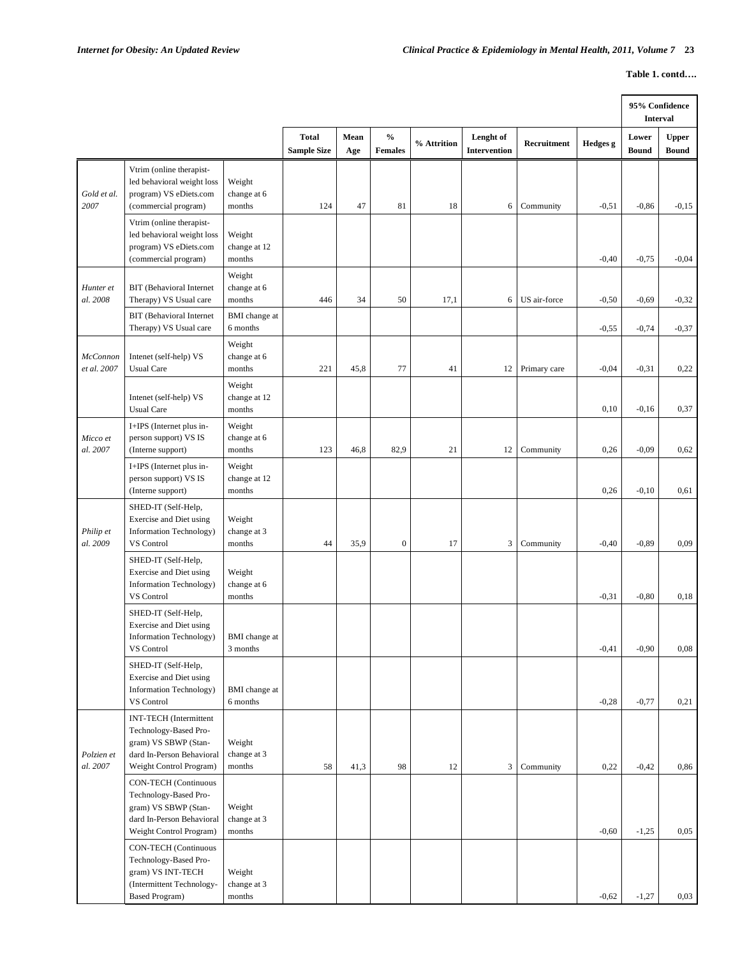**Table 1. contd….** 

|                                |                                                                                                                                        |                                                           |                                    |             |                                 |             |                           |              |          |                       | 95% Confidence<br><b>Interval</b> |
|--------------------------------|----------------------------------------------------------------------------------------------------------------------------------------|-----------------------------------------------------------|------------------------------------|-------------|---------------------------------|-------------|---------------------------|--------------|----------|-----------------------|-----------------------------------|
|                                |                                                                                                                                        |                                                           | <b>Total</b><br><b>Sample Size</b> | Mean<br>Age | $\frac{0}{0}$<br><b>Females</b> | % Attrition | Lenght of<br>Intervention | Recruitment  | Hedges g | Lower<br><b>Bound</b> | <b>Upper</b><br><b>Bound</b>      |
| Gold et al.<br>2007            | Vtrim (online therapist-<br>led behavioral weight loss<br>program) VS eDiets.com<br>(commercial program)                               | Weight<br>change at 6<br>months                           | 124                                | 47          | 81                              | 18          | 6                         | Community    | $-0,51$  | $-0,86$               | $-0,15$                           |
|                                | Vtrim (online therapist-<br>led behavioral weight loss<br>program) VS eDiets.com<br>(commercial program)                               | Weight<br>change at 12<br>months                          |                                    |             |                                 |             |                           |              | $-0,40$  | $-0,75$               | $-0,04$                           |
| Hunter et<br>al. 2008          | <b>BIT</b> (Behavioral Internet<br>Therapy) VS Usual care                                                                              | Weight<br>change at 6<br>months                           | 446                                | 34          | 50                              | 17,1        | 6                         | US air-force | $-0.50$  | $-0,69$               | $-0,32$                           |
|                                | <b>BIT</b> (Behavioral Internet<br>Therapy) VS Usual care                                                                              | <b>BMI</b> change at<br>6 months                          |                                    |             |                                 |             |                           |              | $-0,55$  | $-0,74$               | $-0,37$                           |
| <b>McConnon</b><br>et al. 2007 | Intenet (self-help) VS<br><b>Usual Care</b>                                                                                            | Weight<br>change at 6<br>months                           | 221                                | 45,8        | 77                              | 41          | 12                        | Primary care | $-0.04$  | $-0,31$               | 0,22                              |
| Micco et                       | Intenet (self-help) VS<br><b>Usual Care</b><br>I+IPS (Internet plus in-<br>person support) VS IS                                       | Weight<br>change at 12<br>months<br>Weight<br>change at 6 |                                    |             |                                 |             |                           |              | 0,10     | $-0,16$               | 0,37                              |
| al. 2007                       | (Interne support)                                                                                                                      | months                                                    | 123                                | 46,8        | 82,9                            | 21          | 12                        | Community    | 0,26     | $-0,09$               | 0,62                              |
|                                | I+IPS (Internet plus in-<br>person support) VS IS<br>(Interne support)                                                                 | Weight<br>change at 12<br>months                          |                                    |             |                                 |             |                           |              | 0,26     | $-0,10$               | 0,61                              |
| Philip et<br>al. 2009          | SHED-IT (Self-Help,<br>Exercise and Diet using<br>Information Technology)<br>VS Control                                                | Weight<br>change at 3<br>months                           | 44                                 | 35,9        | $\boldsymbol{0}$                | 17          | 3                         | Community    | $-0,40$  | $-0,89$               | 0,09                              |
|                                | SHED-IT (Self-Help,<br>Exercise and Diet using<br>Information Technology)<br><b>VS Control</b>                                         | Weight<br>change at 6<br>months                           |                                    |             |                                 |             |                           |              | $-0,31$  | $-0,80$               | 0,18                              |
|                                | SHED-IT (Self-Help,<br>Exercise and Diet using<br>Information Technology)<br>VS Control                                                | <b>BMI</b> change at<br>3 months                          |                                    |             |                                 |             |                           |              | $-0,41$  | $-0,90$               | 0,08                              |
|                                | SHED-IT (Self-Help,<br>Exercise and Diet using<br>Information Technology)<br><b>VS Control</b>                                         | <b>BMI</b> change at<br>6 months                          |                                    |             |                                 |             |                           |              | $-0,28$  | $-0,77$               | 0,21                              |
| Polzien et<br>al. 2007         | <b>INT-TECH</b> (Intermittent<br>Technology-Based Pro-<br>gram) VS SBWP (Stan-<br>dard In-Person Behavioral<br>Weight Control Program) | Weight<br>change at 3<br>months                           | 58                                 | 41,3        | 98                              | 12          | 3                         | Community    | 0,22     | $-0,42$               | 0,86                              |
|                                | <b>CON-TECH</b> (Continuous<br>Technology-Based Pro-<br>gram) VS SBWP (Stan-<br>dard In-Person Behavioral<br>Weight Control Program)   | Weight<br>change at 3<br>months                           |                                    |             |                                 |             |                           |              | $-0,60$  | $-1,25$               | 0,05                              |
|                                | <b>CON-TECH</b> (Continuous<br>Technology-Based Pro-<br>gram) VS INT-TECH<br>(Intermittent Technology-                                 | Weight<br>change at 3                                     |                                    |             |                                 |             |                           |              |          |                       |                                   |
|                                | <b>Based Program)</b>                                                                                                                  | months                                                    |                                    |             |                                 |             |                           |              | $-0,62$  | $-1,27$               | 0,03                              |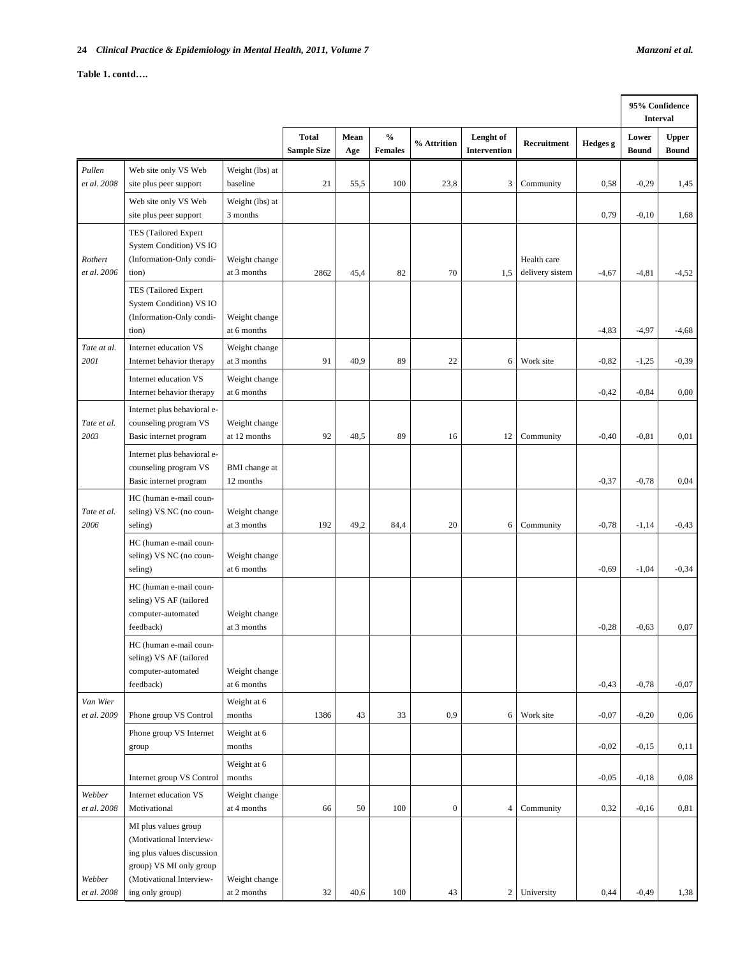|                                                                                                                                       |                                            |                                    |             |                                 |                  |                           |                                |            |                       | <b>Interval</b>              |
|---------------------------------------------------------------------------------------------------------------------------------------|--------------------------------------------|------------------------------------|-------------|---------------------------------|------------------|---------------------------|--------------------------------|------------|-----------------------|------------------------------|
|                                                                                                                                       |                                            | <b>Total</b><br><b>Sample Size</b> | Mean<br>Age | $\frac{0}{0}$<br><b>Females</b> | % Attrition      | Lenght of<br>Intervention | <b>Recruitment</b>             | Hedges g   | Lower<br><b>Bound</b> | <b>Upper</b><br><b>Bound</b> |
| Web site only VS Web<br>site plus peer support                                                                                        | Weight (lbs) at<br>baseline                | 21                                 | 55,5        | 100                             | 23,8             | 3                         | Community                      | 0,58       | $-0,29$               | 1,45                         |
| Web site only VS Web<br>site plus peer support                                                                                        | Weight (lbs) at<br>3 months                |                                    |             |                                 |                  |                           |                                | 0,79       | $-0,10$               | 1,68                         |
| <b>TES (Tailored Expert</b><br>System Condition) VS IO<br>(Information-Only condi-<br>tion)                                           | Weight change<br>at 3 months               | 2862                               | 45,4        | 82                              | 70               | 1,5                       | Health care<br>delivery sistem | $-4,67$    | $-4,81$               | $-4,52$                      |
| TES (Tailored Expert<br>System Condition) VS IO<br>(Information-Only condi-<br>tion)                                                  | Weight change<br>at 6 months               |                                    |             |                                 |                  |                           |                                | $-4,83$    | $-4,97$               | $-4,68$                      |
| Internet education VS<br>Internet behavior therapy                                                                                    | Weight change<br>at 3 months               | 91                                 | 40,9        | 89                              | 22               | 6                         | Work site                      | $-0,82$    | $-1,25$               | $-0,39$                      |
| Internet education VS<br>Internet behavior therapy                                                                                    | Weight change<br>at 6 months               |                                    |             |                                 |                  |                           |                                | $-0,42$    | $-0,84$               | 0,00                         |
| Internet plus behavioral e-<br>counseling program VS<br>Basic internet program                                                        | Weight change<br>at 12 months              | 92                                 | 48,5        | 89                              | 16               | 12                        | Community                      | $-0,40$    | $-0,81$               | 0,01                         |
| Internet plus behavioral e-<br>counseling program VS<br>Basic internet program                                                        | <b>BMI</b> change at<br>12 months          |                                    |             |                                 |                  |                           |                                | $-0.37$    | $-0,78$               | 0,04                         |
| HC (human e-mail coun-<br>seling) VS NC (no coun-<br>seling)                                                                          | Weight change<br>at 3 months               | 192                                | 49,2        | 84,4                            | 20               | 6                         | Community                      | $-0,78$    | $-1,14$               | $-0,43$                      |
| HC (human e-mail coun-<br>seling) VS NC (no coun-<br>seling)                                                                          | Weight change<br>at 6 months               |                                    |             |                                 |                  |                           |                                | $-0,69$    | $-1,04$               | $-0,34$                      |
| HC (human e-mail coun-<br>seling) VS AF (tailored<br>computer-automated<br>feedback)                                                  | Weight change<br>at 3 months               |                                    |             |                                 |                  |                           |                                | $-0,28$    | $-0,63$               | 0,07                         |
| HC (human e-mail coun-<br>seling) VS AF (tailored<br>computer-automated<br>feedback)                                                  | Weight change<br>at 6 months               |                                    |             |                                 |                  |                           |                                | $-0,43$    | $-0,78$               | $-0,07$                      |
| Phone group VS Control                                                                                                                | Weight at 6<br>months                      | 1386                               | 43          | 33                              | 0,9              | 6                         | Work site                      | $-0,07$    | $-0,20$               | 0,06                         |
| group                                                                                                                                 | months                                     |                                    |             |                                 |                  |                           |                                | $-0,02$    | $-0,15$               | 0,11                         |
| Internet group VS Control                                                                                                             | Weight at 6<br>months                      |                                    |             |                                 |                  |                           |                                | $-0,05$    | $-0,18$               | 0,08                         |
| Internet education VS<br>Motivational                                                                                                 | Weight change<br>at 4 months               | 66                                 | 50          | 100                             | $\boldsymbol{0}$ | 4                         | Community                      | 0,32       | $-0,16$               | 0,81                         |
| MI plus values group<br>(Motivational Interview-<br>ing plus values discussion<br>group) VS MI only group<br>(Motivational Interview- | Weight change                              |                                    |             |                                 |                  |                           |                                |            |                       | 1,38                         |
|                                                                                                                                       | Phone group VS Internet<br>ing only group) | Weight at 6<br>at 2 months         | 32          | 40,6                            | 100              | 43                        | $\overline{2}$                 | University | 0,44                  | $-0,49$                      |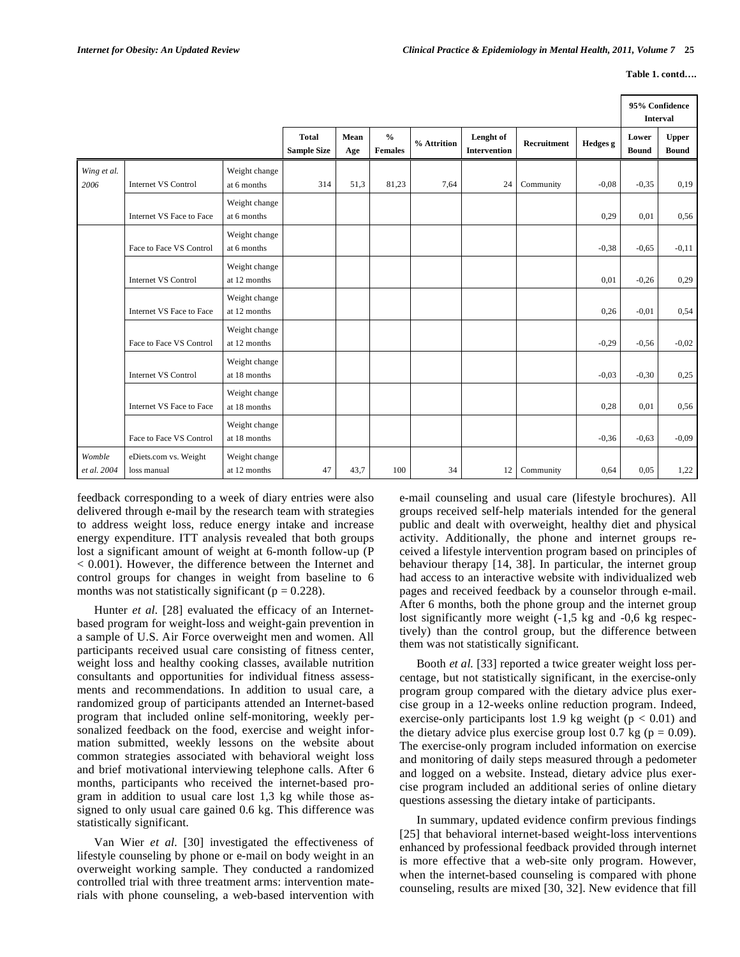**Table 1. contd….** 

|                       |                                      |                               |                                    |             |                                 |             |                                  |             |                 | 95% Confidence<br><b>Interval</b> |                              |  |
|-----------------------|--------------------------------------|-------------------------------|------------------------------------|-------------|---------------------------------|-------------|----------------------------------|-------------|-----------------|-----------------------------------|------------------------------|--|
|                       |                                      |                               | <b>Total</b><br><b>Sample Size</b> | Mean<br>Age | $\frac{0}{0}$<br><b>Females</b> | % Attrition | Lenght of<br><b>Intervention</b> | Recruitment | <b>Hedges</b> g | Lower<br><b>Bound</b>             | <b>Upper</b><br><b>Bound</b> |  |
| Wing et al.<br>2006   | <b>Internet VS Control</b>           | Weight change<br>at 6 months  | 314                                | 51,3        | 81,23                           | 7,64        | 24                               | Community   | $-0,08$         | $-0,35$                           | 0,19                         |  |
|                       | Internet VS Face to Face             | Weight change<br>at 6 months  |                                    |             |                                 |             |                                  |             | 0,29            | 0,01                              | 0,56                         |  |
|                       | Face to Face VS Control              | Weight change<br>at 6 months  |                                    |             |                                 |             |                                  |             | $-0.38$         | $-0.65$                           | $-0,11$                      |  |
|                       | <b>Internet VS Control</b>           | Weight change<br>at 12 months |                                    |             |                                 |             |                                  |             | 0.01            | $-0.26$                           | 0.29                         |  |
|                       | Internet VS Face to Face             | Weight change<br>at 12 months |                                    |             |                                 |             |                                  |             | 0,26            | $-0,01$                           | 0,54                         |  |
|                       | Face to Face VS Control              | Weight change<br>at 12 months |                                    |             |                                 |             |                                  |             | $-0,29$         | $-0,56$                           | $-0.02$                      |  |
|                       | <b>Internet VS Control</b>           | Weight change<br>at 18 months |                                    |             |                                 |             |                                  |             | $-0,03$         | $-0,30$                           | 0,25                         |  |
|                       | Internet VS Face to Face             | Weight change<br>at 18 months |                                    |             |                                 |             |                                  |             | 0,28            | 0,01                              | 0,56                         |  |
|                       | Face to Face VS Control              | Weight change<br>at 18 months |                                    |             |                                 |             |                                  |             | $-0,36$         | $-0,63$                           | $-0,09$                      |  |
| Womble<br>et al. 2004 | eDiets.com vs. Weight<br>loss manual | Weight change<br>at 12 months | 47                                 | 43,7        | 100                             | 34          | 12                               | Community   | 0,64            | 0.05                              | 1,22                         |  |

feedback corresponding to a week of diary entries were also delivered through e-mail by the research team with strategies to address weight loss, reduce energy intake and increase energy expenditure. ITT analysis revealed that both groups lost a significant amount of weight at 6-month follow-up (P < 0.001). However, the difference between the Internet and control groups for changes in weight from baseline to 6 months was not statistically significant ( $p = 0.228$ ).

Hunter *et al.* [28] evaluated the efficacy of an Internetbased program for weight-loss and weight-gain prevention in a sample of U.S. Air Force overweight men and women. All participants received usual care consisting of fitness center, weight loss and healthy cooking classes, available nutrition consultants and opportunities for individual fitness assessments and recommendations. In addition to usual care, a randomized group of participants attended an Internet-based program that included online self-monitoring, weekly personalized feedback on the food, exercise and weight information submitted, weekly lessons on the website about common strategies associated with behavioral weight loss and brief motivational interviewing telephone calls. After 6 months, participants who received the internet-based program in addition to usual care lost 1,3 kg while those assigned to only usual care gained 0.6 kg. This difference was statistically significant.

Van Wier *et al.* [30] investigated the effectiveness of lifestyle counseling by phone or e-mail on body weight in an overweight working sample. They conducted a randomized controlled trial with three treatment arms: intervention materials with phone counseling, a web-based intervention with

e-mail counseling and usual care (lifestyle brochures). All groups received self-help materials intended for the general public and dealt with overweight, healthy diet and physical activity. Additionally, the phone and internet groups received a lifestyle intervention program based on principles of behaviour therapy [14, 38]. In particular, the internet group had access to an interactive website with individualized web pages and received feedback by a counselor through e-mail. After 6 months, both the phone group and the internet group lost significantly more weight  $(-1,5 \text{ kg and } -0,6 \text{ kg respectively})$ tively) than the control group, but the difference between them was not statistically significant.

Booth *et al.* [33] reported a twice greater weight loss percentage, but not statistically significant, in the exercise-only program group compared with the dietary advice plus exercise group in a 12-weeks online reduction program. Indeed, exercise-only participants lost 1.9 kg weight ( $p < 0.01$ ) and the dietary advice plus exercise group lost 0.7 kg ( $p = 0.09$ ). The exercise-only program included information on exercise and monitoring of daily steps measured through a pedometer and logged on a website. Instead, dietary advice plus exercise program included an additional series of online dietary questions assessing the dietary intake of participants.

In summary, updated evidence confirm previous findings [25] that behavioral internet-based weight-loss interventions enhanced by professional feedback provided through internet is more effective that a web-site only program. However, when the internet-based counseling is compared with phone counseling, results are mixed [30, 32]. New evidence that fill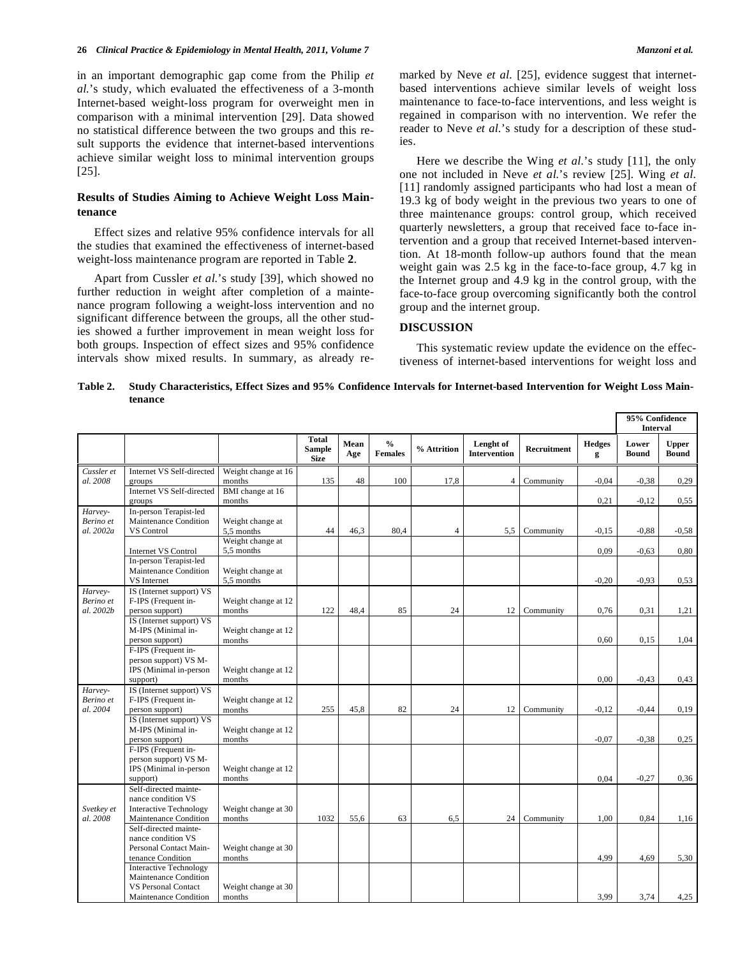### **26** *Clinical Practice & Epidemiology in Mental Health, 2011, Volume 7 Manzoni et al.*

**95% Confidence** 

in an important demographic gap come from the Philip *et al.*'s study, which evaluated the effectiveness of a 3-month Internet-based weight-loss program for overweight men in comparison with a minimal intervention [29]. Data showed no statistical difference between the two groups and this result supports the evidence that internet-based interventions achieve similar weight loss to minimal intervention groups [25].

# **Results of Studies Aiming to Achieve Weight Loss Maintenance**

Effect sizes and relative 95% confidence intervals for all the studies that examined the effectiveness of internet-based weight-loss maintenance program are reported in Table **2**.

Apart from Cussler *et al.*'s study [39], which showed no further reduction in weight after completion of a maintenance program following a weight-loss intervention and no significant difference between the groups, all the other studies showed a further improvement in mean weight loss for both groups. Inspection of effect sizes and 95% confidence intervals show mixed results. In summary, as already remarked by Neve *et al.* [25], evidence suggest that internetbased interventions achieve similar levels of weight loss maintenance to face-to-face interventions, and less weight is regained in comparison with no intervention. We refer the reader to Neve *et al.*'s study for a description of these studies.

Here we describe the Wing *et al.*'s study [11], the only one not included in Neve *et al.*'s review [25]. Wing *et al.* [11] randomly assigned participants who had lost a mean of 19.3 kg of body weight in the previous two years to one of three maintenance groups: control group, which received quarterly newsletters, a group that received face to-face intervention and a group that received Internet-based intervention. At 18-month follow-up authors found that the mean weight gain was 2.5 kg in the face-to-face group, 4.7 kg in the Internet group and 4.9 kg in the control group, with the face-to-face group overcoming significantly both the control group and the internet group.

# **DISCUSSION**

This systematic review update the evidence on the effectiveness of internet-based interventions for weight loss and

# **Table 2. Study Characteristics, Effect Sizes and 95% Confidence Intervals for Internet-based Intervention for Weight Loss Maintenance**

|                                   |                                                                                                               |                                |                                              |             |                                 |                |                                  |             |                    | 95 % Сонциенсе<br><b>Interval</b> |                              |
|-----------------------------------|---------------------------------------------------------------------------------------------------------------|--------------------------------|----------------------------------------------|-------------|---------------------------------|----------------|----------------------------------|-------------|--------------------|-----------------------------------|------------------------------|
|                                   |                                                                                                               |                                | <b>Total</b><br><b>Sample</b><br><b>Size</b> | Mean<br>Age | $\frac{0}{0}$<br><b>Females</b> | % Attrition    | Lenght of<br><b>Intervention</b> | Recruitment | <b>Hedges</b><br>g | Lower<br><b>Bound</b>             | <b>Upper</b><br><b>Bound</b> |
| Cussler et<br>al. 2008            | Internet VS Self-directed<br>groups                                                                           | Weight change at 16<br>months  | 135                                          | 48          | 100                             | 17,8           | $\overline{4}$                   | Community   | $-0.04$            | $-0.38$                           | 0,29                         |
|                                   | Internet VS Self-directed<br>groups                                                                           | BMI change at 16<br>months     |                                              |             |                                 |                |                                  |             | 0,21               | $-0,12$                           | 0,55                         |
| Harvey-<br>Berino et<br>al. 2002a | In-person Terapist-led<br>Maintenance Condition<br><b>VS Control</b>                                          | Weight change at<br>5,5 months | 44                                           | 46,3        | 80.4                            | $\overline{4}$ | 5,5                              | Community   | $-0.15$            | $-0.88$                           | $-0,58$                      |
|                                   | <b>Internet VS Control</b>                                                                                    | Weight change at<br>5,5 months |                                              |             |                                 |                |                                  |             | 0,09               | $-0.63$                           | 0,80                         |
|                                   | In-person Terapist-led<br>Maintenance Condition<br>VS Internet                                                | Weight change at<br>5,5 months |                                              |             |                                 |                |                                  |             | $-0,20$            | $-0.93$                           | 0,53                         |
| Harvey-<br>Berino et<br>al. 2002b | IS (Internet support) VS<br>F-IPS (Frequent in-<br>person support)                                            | Weight change at 12<br>months  | 122                                          | 48,4        | 85                              | 24             | 12 <sub>1</sub>                  | Community   | 0,76               | 0,31                              | 1,21                         |
|                                   | IS (Internet support) VS<br>M-IPS (Minimal in-<br>person support)                                             | Weight change at 12<br>months  |                                              |             |                                 |                |                                  |             | 0,60               | 0,15                              | 1,04                         |
|                                   | F-IPS (Frequent in-<br>person support) VS M-<br>IPS (Minimal in-person<br>support)                            | Weight change at 12<br>months  |                                              |             |                                 |                |                                  |             | 0,00               | $-0,43$                           | 0,43                         |
| Harvey-<br>Berino et<br>al. 2004  | IS (Internet support) VS<br>F-IPS (Frequent in-<br>person support)                                            | Weight change at 12<br>months  | 255                                          | 45,8        | 82                              | 24             | 12 <sup>1</sup>                  | Community   | $-0,12$            | $-0,44$                           | 0,19                         |
|                                   | IS (Internet support) VS<br>M-IPS (Minimal in-<br>person support)                                             | Weight change at 12<br>months  |                                              |             |                                 |                |                                  |             | $-0.07$            | $-0.38$                           | 0,25                         |
|                                   | F-IPS (Frequent in-<br>person support) VS M-<br>IPS (Minimal in-person<br>support)                            | Weight change at 12<br>months  |                                              |             |                                 |                |                                  |             | 0,04               | $-0,27$                           | 0,36                         |
| Svetkey et<br>al. 2008            | Self-directed mainte-<br>nance condition VS<br><b>Interactive Technology</b><br>Maintenance Condition         | Weight change at 30<br>months  | 1032                                         | 55,6        | 63                              | 6,5            | 24                               | Community   | 1,00               | 0,84                              | 1,16                         |
|                                   | Self-directed mainte-<br>nance condition VS<br>Personal Contact Main-<br>tenance Condition                    | Weight change at 30<br>months  |                                              |             |                                 |                |                                  |             | 4,99               | 4,69                              | 5,30                         |
|                                   | <b>Interactive Technology</b><br>Maintenance Condition<br><b>VS Personal Contact</b><br>Maintenance Condition | Weight change at 30<br>months  |                                              |             |                                 |                |                                  |             | 3.99               | 3.74                              | 4,25                         |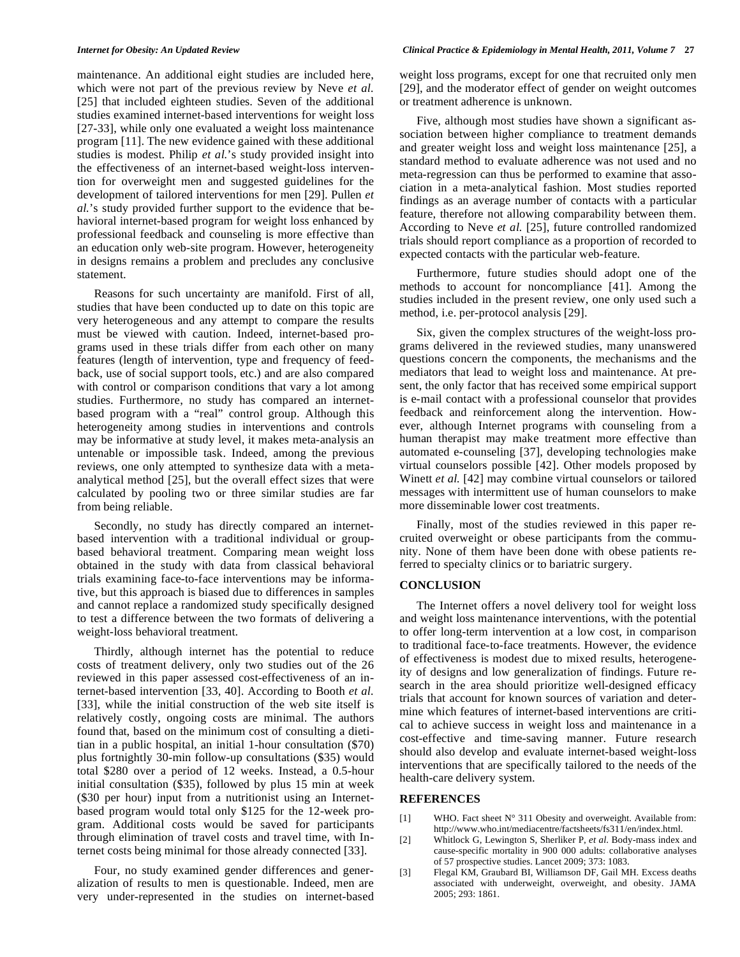maintenance. An additional eight studies are included here, which were not part of the previous review by Neve *et al.* [25] that included eighteen studies. Seven of the additional studies examined internet-based interventions for weight loss [27-33], while only one evaluated a weight loss maintenance program [11]. The new evidence gained with these additional studies is modest. Philip *et al.*'s study provided insight into the effectiveness of an internet-based weight-loss intervention for overweight men and suggested guidelines for the development of tailored interventions for men [29]. Pullen *et al.*'s study provided further support to the evidence that behavioral internet-based program for weight loss enhanced by professional feedback and counseling is more effective than an education only web-site program. However, heterogeneity in designs remains a problem and precludes any conclusive statement.

Reasons for such uncertainty are manifold. First of all, studies that have been conducted up to date on this topic are very heterogeneous and any attempt to compare the results must be viewed with caution. Indeed, internet-based programs used in these trials differ from each other on many features (length of intervention, type and frequency of feedback, use of social support tools, etc.) and are also compared with control or comparison conditions that vary a lot among studies. Furthermore, no study has compared an internetbased program with a "real" control group. Although this heterogeneity among studies in interventions and controls may be informative at study level, it makes meta-analysis an untenable or impossible task. Indeed, among the previous reviews, one only attempted to synthesize data with a metaanalytical method [25], but the overall effect sizes that were calculated by pooling two or three similar studies are far from being reliable.

Secondly, no study has directly compared an internetbased intervention with a traditional individual or groupbased behavioral treatment. Comparing mean weight loss obtained in the study with data from classical behavioral trials examining face-to-face interventions may be informative, but this approach is biased due to differences in samples and cannot replace a randomized study specifically designed to test a difference between the two formats of delivering a weight-loss behavioral treatment.

Thirdly, although internet has the potential to reduce costs of treatment delivery, only two studies out of the 26 reviewed in this paper assessed cost-effectiveness of an internet-based intervention [33, 40]. According to Booth *et al.* [33], while the initial construction of the web site itself is relatively costly, ongoing costs are minimal. The authors found that, based on the minimum cost of consulting a dietitian in a public hospital, an initial 1-hour consultation (\$70) plus fortnightly 30-min follow-up consultations (\$35) would total \$280 over a period of 12 weeks. Instead, a 0.5-hour initial consultation (\$35), followed by plus 15 min at week (\$30 per hour) input from a nutritionist using an Internetbased program would total only \$125 for the 12-week program. Additional costs would be saved for participants through elimination of travel costs and travel time, with Internet costs being minimal for those already connected [33].

Four, no study examined gender differences and generalization of results to men is questionable. Indeed, men are very under-represented in the studies on internet-based weight loss programs, except for one that recruited only men [29], and the moderator effect of gender on weight outcomes or treatment adherence is unknown.

Five, although most studies have shown a significant association between higher compliance to treatment demands and greater weight loss and weight loss maintenance [25], a standard method to evaluate adherence was not used and no meta-regression can thus be performed to examine that association in a meta-analytical fashion. Most studies reported findings as an average number of contacts with a particular feature, therefore not allowing comparability between them. According to Neve *et al.* [25], future controlled randomized trials should report compliance as a proportion of recorded to expected contacts with the particular web-feature.

Furthermore, future studies should adopt one of the methods to account for noncompliance [41]. Among the studies included in the present review, one only used such a method, i.e. per-protocol analysis [29].

Six, given the complex structures of the weight-loss programs delivered in the reviewed studies, many unanswered questions concern the components, the mechanisms and the mediators that lead to weight loss and maintenance. At present, the only factor that has received some empirical support is e-mail contact with a professional counselor that provides feedback and reinforcement along the intervention. However, although Internet programs with counseling from a human therapist may make treatment more effective than automated e-counseling [37], developing technologies make virtual counselors possible [42]. Other models proposed by Winett *et al.* [42] may combine virtual counselors or tailored messages with intermittent use of human counselors to make more disseminable lower cost treatments.

Finally, most of the studies reviewed in this paper recruited overweight or obese participants from the community. None of them have been done with obese patients referred to specialty clinics or to bariatric surgery.

## **CONCLUSION**

The Internet offers a novel delivery tool for weight loss and weight loss maintenance interventions, with the potential to offer long-term intervention at a low cost, in comparison to traditional face-to-face treatments. However, the evidence of effectiveness is modest due to mixed results, heterogeneity of designs and low generalization of findings. Future research in the area should prioritize well-designed efficacy trials that account for known sources of variation and determine which features of internet-based interventions are critical to achieve success in weight loss and maintenance in a cost-effective and time-saving manner. Future research should also develop and evaluate internet-based weight-loss interventions that are specifically tailored to the needs of the health-care delivery system.

### **REFERENCES**

- [1] WHO. Fact sheet N° 311 Obesity and overweight. Available from: http://www.who.int/mediacentre/factsheets/fs311/en/index.html.
- [2] Whitlock G, Lewington S, Sherliker P, *et al*. Body-mass index and cause-specific mortality in 900 000 adults: collaborative analyses of 57 prospective studies. Lancet 2009; 373: 1083.
- [3] Flegal KM, Graubard BI, Williamson DF, Gail MH. Excess deaths associated with underweight, overweight, and obesity. JAMA 2005; 293: 1861.